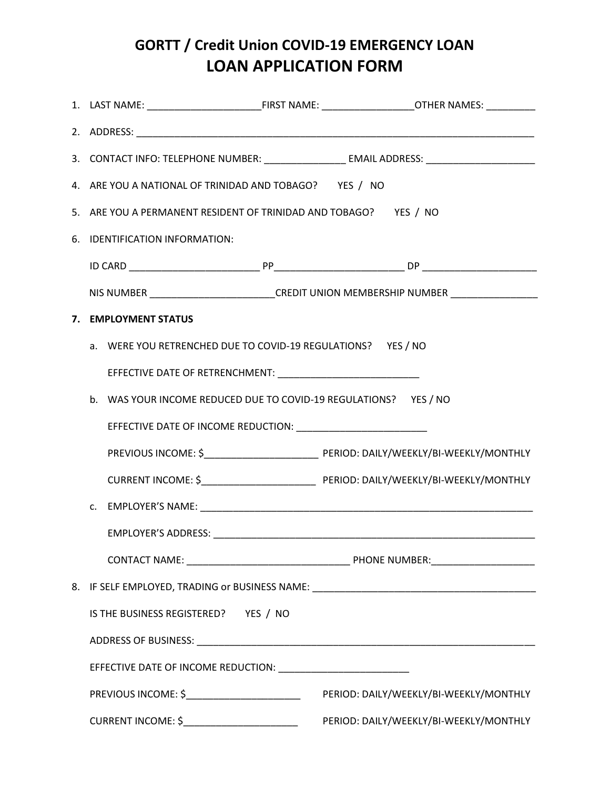## **GORTT / Credit Union COVID-19 EMERGENCY LOAN LOAN APPLICATION FORM**

|  | 3. CONTACT INFO: TELEPHONE NUMBER: ____________________ EMAIL ADDRESS: ____________________________ |  |                                        |  |
|--|-----------------------------------------------------------------------------------------------------|--|----------------------------------------|--|
|  | 4. ARE YOU A NATIONAL OF TRINIDAD AND TOBAGO? YES / NO                                              |  |                                        |  |
|  | 5. ARE YOU A PERMANENT RESIDENT OF TRINIDAD AND TOBAGO? YES / NO                                    |  |                                        |  |
|  | 6. IDENTIFICATION INFORMATION:                                                                      |  |                                        |  |
|  |                                                                                                     |  |                                        |  |
|  | NIS NUMBER __________________________CREDIT UNION MEMBERSHIP NUMBER _____________                   |  |                                        |  |
|  | 7. EMPLOYMENT STATUS                                                                                |  |                                        |  |
|  | a. WERE YOU RETRENCHED DUE TO COVID-19 REGULATIONS? YES / NO                                        |  |                                        |  |
|  |                                                                                                     |  |                                        |  |
|  | b. WAS YOUR INCOME REDUCED DUE TO COVID-19 REGULATIONS? YES / NO                                    |  |                                        |  |
|  |                                                                                                     |  |                                        |  |
|  |                                                                                                     |  |                                        |  |
|  |                                                                                                     |  |                                        |  |
|  |                                                                                                     |  |                                        |  |
|  |                                                                                                     |  |                                        |  |
|  |                                                                                                     |  |                                        |  |
|  | 8. IF SELF EMPLOYED, TRADING or BUSINESS NAME: _________________________________                    |  |                                        |  |
|  | IS THE BUSINESS REGISTERED? YES / NO                                                                |  |                                        |  |
|  |                                                                                                     |  |                                        |  |
|  |                                                                                                     |  |                                        |  |
|  | PREVIOUS INCOME: \$_________________________                                                        |  | PERIOD: DAILY/WEEKLY/BI-WEEKLY/MONTHLY |  |
|  | CURRENT INCOME: \$_________________________                                                         |  | PERIOD: DAILY/WEEKLY/BI-WEEKLY/MONTHLY |  |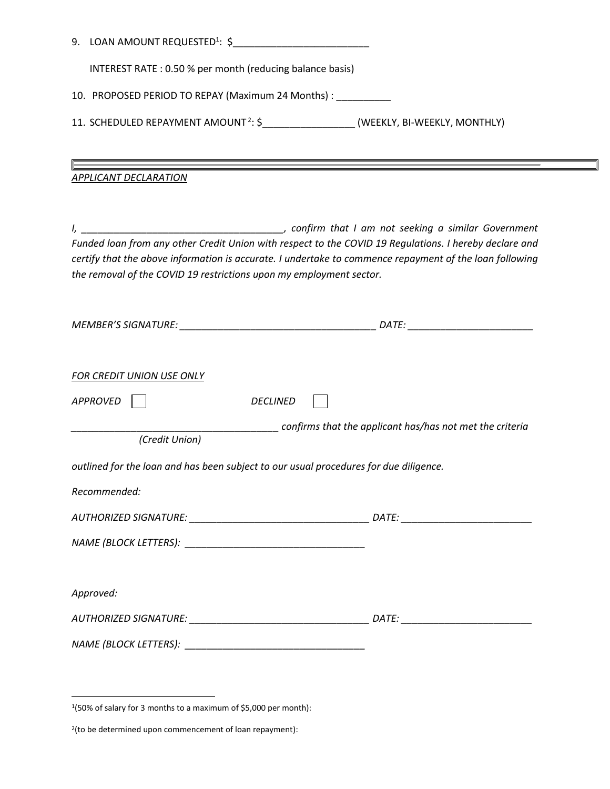| INTEREST RATE: 0.50 % per month (reducing balance basis)                                          |                                                                                                                                                                                                                   |  |  |
|---------------------------------------------------------------------------------------------------|-------------------------------------------------------------------------------------------------------------------------------------------------------------------------------------------------------------------|--|--|
| 10. PROPOSED PERIOD TO REPAY (Maximum 24 Months) : _________                                      |                                                                                                                                                                                                                   |  |  |
| 11. SCHEDULED REPAYMENT AMOUNT <sup>2</sup> : \$_____________________(WEEKLY, BI-WEEKLY, MONTHLY) |                                                                                                                                                                                                                   |  |  |
|                                                                                                   |                                                                                                                                                                                                                   |  |  |
| APPLICANT DECLARATION                                                                             |                                                                                                                                                                                                                   |  |  |
|                                                                                                   |                                                                                                                                                                                                                   |  |  |
|                                                                                                   |                                                                                                                                                                                                                   |  |  |
|                                                                                                   | Funded loan from any other Credit Union with respect to the COVID 19 Regulations. I hereby declare and<br>certify that the above information is accurate. I undertake to commence repayment of the loan following |  |  |
| the removal of the COVID 19 restrictions upon my employment sector.                               |                                                                                                                                                                                                                   |  |  |
|                                                                                                   |                                                                                                                                                                                                                   |  |  |
|                                                                                                   |                                                                                                                                                                                                                   |  |  |
|                                                                                                   |                                                                                                                                                                                                                   |  |  |
| <b>FOR CREDIT UNION USE ONLY</b>                                                                  |                                                                                                                                                                                                                   |  |  |
| APPROVED<br><b>DECLINED</b>                                                                       |                                                                                                                                                                                                                   |  |  |
|                                                                                                   | confirms that the applicant has/has not met the criteria                                                                                                                                                          |  |  |
| (Credit Union)                                                                                    |                                                                                                                                                                                                                   |  |  |
| outlined for the loan and has been subject to our usual procedures for due diligence.             |                                                                                                                                                                                                                   |  |  |
| Recommended:                                                                                      |                                                                                                                                                                                                                   |  |  |
|                                                                                                   |                                                                                                                                                                                                                   |  |  |
|                                                                                                   |                                                                                                                                                                                                                   |  |  |
|                                                                                                   |                                                                                                                                                                                                                   |  |  |
| Approved:                                                                                         |                                                                                                                                                                                                                   |  |  |
|                                                                                                   |                                                                                                                                                                                                                   |  |  |
|                                                                                                   |                                                                                                                                                                                                                   |  |  |
|                                                                                                   |                                                                                                                                                                                                                   |  |  |
|                                                                                                   |                                                                                                                                                                                                                   |  |  |

 1 (50% of salary for 3 months to a maximum of \$5,000 per month):

<sup>2</sup> (to be determined upon commencement of loan repayment):